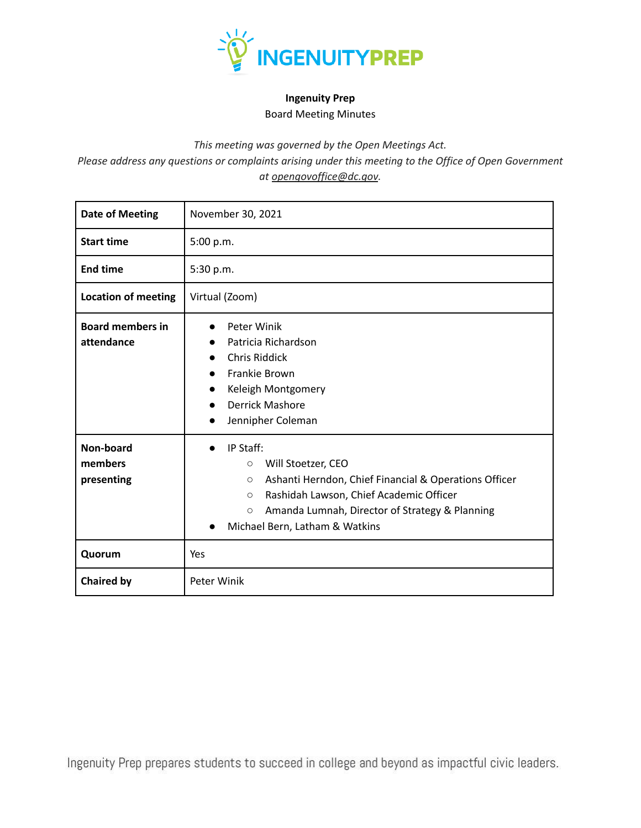

## **Ingenuity Prep** Board Meeting Minutes

*This meeting was governed by the Open Meetings Act.*

*Please address any questions or complaints arising under this meeting to the Office of Open Government at opengovoffice@dc.gov.*

| <b>Date of Meeting</b>                | November 30, 2021                                                                                                                                                                                                                                                          |  |  |
|---------------------------------------|----------------------------------------------------------------------------------------------------------------------------------------------------------------------------------------------------------------------------------------------------------------------------|--|--|
| <b>Start time</b>                     | 5:00 p.m.                                                                                                                                                                                                                                                                  |  |  |
| <b>End time</b>                       | 5:30 p.m.                                                                                                                                                                                                                                                                  |  |  |
| <b>Location of meeting</b>            | Virtual (Zoom)                                                                                                                                                                                                                                                             |  |  |
| <b>Board members in</b><br>attendance | Peter Winik<br>Patricia Richardson<br><b>Chris Riddick</b><br>$\bullet$<br><b>Frankie Brown</b><br>$\bullet$<br>Keleigh Montgomery<br>$\bullet$<br><b>Derrick Mashore</b><br>$\bullet$<br>Jennipher Coleman<br>$\bullet$                                                   |  |  |
| Non-board<br>members<br>presenting    | IP Staff:<br>$\bullet$<br>Will Stoetzer, CEO<br>$\circ$<br>Ashanti Herndon, Chief Financial & Operations Officer<br>О<br>Rashidah Lawson, Chief Academic Officer<br>$\circ$<br>Amanda Lumnah, Director of Strategy & Planning<br>$\circ$<br>Michael Bern, Latham & Watkins |  |  |
| Quorum                                | Yes                                                                                                                                                                                                                                                                        |  |  |
| <b>Chaired by</b>                     | Peter Winik                                                                                                                                                                                                                                                                |  |  |

Ingenuity Prep prepares students to succeed in college and beyond as impactful civic leaders.